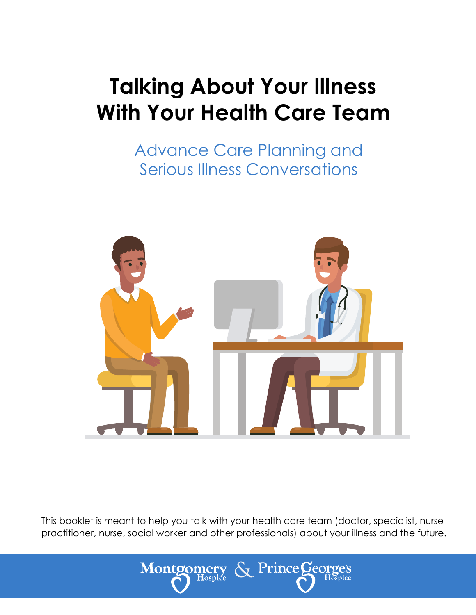# **Talking About Your Illness With Your Health Care Team**

Advance Care Planning and Serious Illness Conversations



This booklet is meant to help you talk with your health care team (doctor, specialist, nurse practitioner, nurse, social worker and other professionals) about your illness and the future.

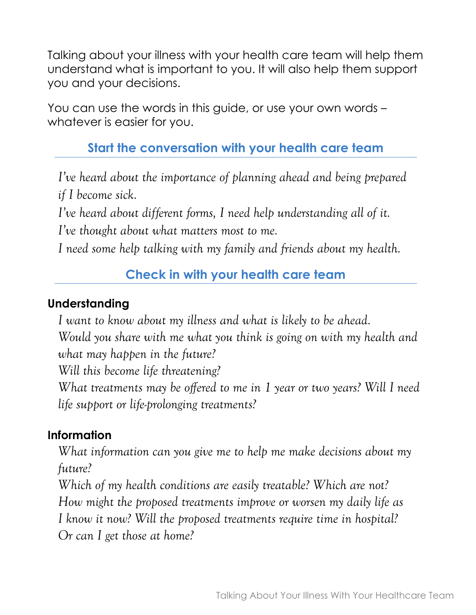Talking about your illness with your health care team will help them understand what is important to you. It will also help them support you and your decisions.

You can use the words in this guide, or use your own words – whatever is easier for you.

# **Start the conversation with your health care team**

*I've heard about the importance of planning ahead and being prepared if I become sick.*

*I've heard about different forms, I need help understanding all of it.* 

*I've thought about what matters most to me.*

*I need some help talking with my family and friends about my health.* 

## **Check in with your health care team**

## **Understanding**

*I want to know about my illness and what is likely to be ahead.* 

*Would you share with me what you think is going on with my health and what may happen in the future?* 

*Will this become life threatening?* 

*What treatments may be offered to me in 1 year or two years? Will I need life support or life-prolonging treatments?*

## **Information**

*What information can you give me to help me make decisions about my future?* 

*Which of my health conditions are easily treatable? Which are not?*

*How might the proposed treatments improve or worsen my daily life as* 

*I know it now? Will the proposed treatments require time in hospital?* 

*Or can I get those at home?*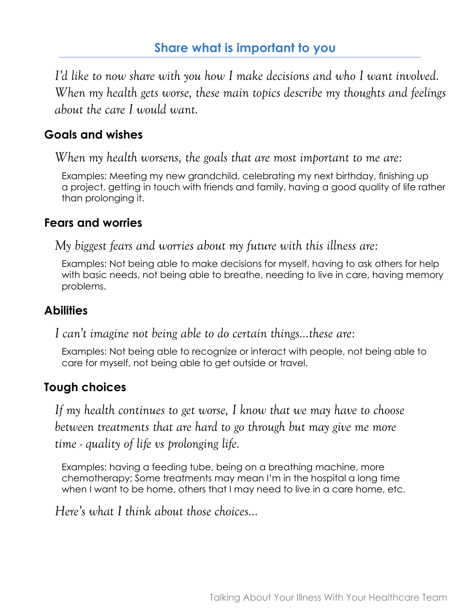*I'd like to now share with you how I make decisions and who I want involved. When my health gets worse, these main topics describe my thoughts and feelings about the care I would want.*

## **Goals and wishes**

*When my health worsens, the goals that are most important to me are:*

Examples: Meeting my new grandchild, celebrating my next birthday, finishing up a project, getting in touch with friends and family, having a good quality of life rather than prolonging it.

#### **Fears and worries**

*My biggest fears and worries about my future with this illness are:*

Examples: Not being able to make decisions for myself, having to ask others for help with basic needs, not being able to breathe, needing to live in care, having memory problems.

#### **Abilities**

*I can't imagine not being able to do certain things…these are:*

Examples: Not being able to recognize or interact with people, not being able to care for myself, not being able to get outside or travel.

## **Tough choices**

*If my health continues to get worse, I know that we may have to choose between treatments that are hard to go through but may give me more time - quality of life vs prolonging life.*

Examples: having a feeding tube, being on a breathing machine, more chemotherapy; Some treatments may mean I'm in the hospital a long time when I want to be home, others that I may need to live in a care home, etc.

*Here's what I think about those choices…*